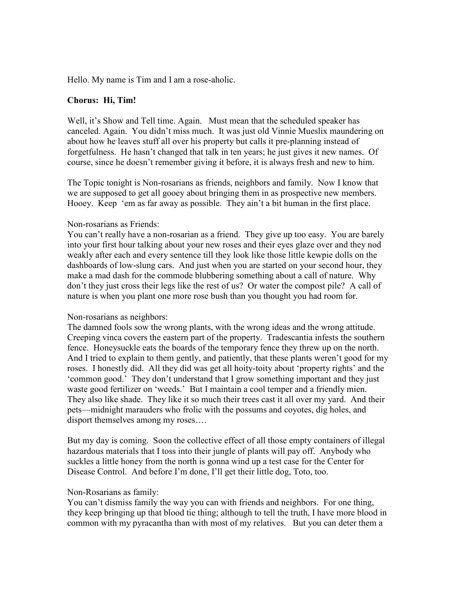Hello. My name is Tim and I am a rose-aholic.

## Chorus: Hi, Tim!

Well, it's Show and Tell time. Again. Must mean that the scheduled speaker has canceled. Again. You didn't miss much. It was just old Vinnie Mueslix maundering on about how he leaves stuff all over his property but calls it pre-planning instead of forgetfulness. He hasn't changed that talk in ten years; he just gives it new names. Of course, since he doesn't remember giving it before, it is always fresh and new to him.

The Topic tonight is Non-rosarians as friends, neighbors and family. Now I know that we are supposed to get all gooey about bringing them in as prospective new members. Hooey. Keep 'em as far away as possible. They ain't a bit human in the first place.

## Non-rosarians as Friends:

You can't really have a non-rosarian as a friend. They give up too easy. You are barely into your first hour talking about your new roses and their eyes glaze over and they nod weakly after each and every sentence till they look like those little kewpie dolls on the dashboards of low-slung cars. And just when you are started on your second hour, they make a mad dash for the commode blubbering something about a call of nature. Why don't they just cross their legs like the rest of us? Or water the compost pile? A call of nature is when you plant one more rose bush than you thought you had room for.

## Non-rosarians as neighbors:

The damned fools sow the wrong plants, with the wrong ideas and the wrong attitude. Creeping vinca covers the eastern part of the property. Tradescantia infests the southern fence. Honeysuckle eats the boards of the temporary fence they threw up on the north. And I tried to explain to them gently, and patiently, that these plants weren't good for my roses. I honestly did. All they did was get all hoity-toity about 'property rights' and the 'common good.' They don't understand that I grow something important and they just waste good fertilizer on 'weeds.' But I maintain a cool temper and a friendly mien. They also like shade. They like it so much their trees cast it all over my yard. And their pets—midnight marauders who frolic with the possums and coyotes, dig holes, and disport themselves among my roses….

But my day is coming. Soon the collective effect of all those empty containers of illegal hazardous materials that I toss into their jungle of plants will pay off. Anybody who suckles a little honey from the north is gonna wind up a test case for the Center for Disease Control. And before I'm done, I'll get their little dog, Toto, too.

## Non-Rosarians as family:

You can't dismiss family the way you can with friends and neighbors. For one thing, they keep bringing up that blood tie thing; although to tell the truth, I have more blood in common with my pyracantha than with most of my relatives. But you can deter them a